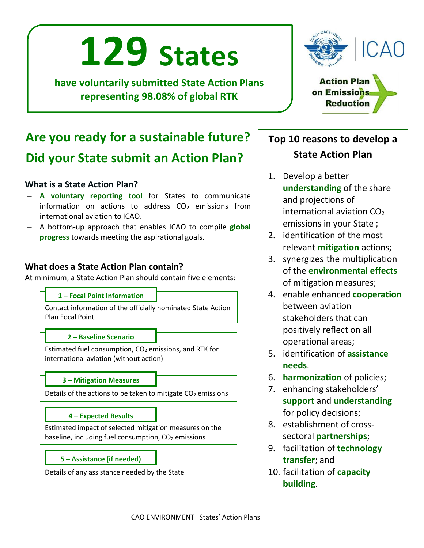# **129 States**

**have voluntarily submitted State Action Plans representing 98.08% of global RTK**



**Action Plan** on Emissions **Reduction** 

## **Are you ready for a sustainable future? Did your State submit an Action Plan?**

#### **What is a State Action Plan?**

- − **A voluntary reporting tool** for States to communicate information on actions to address  $CO<sub>2</sub>$  emissions from international aviation to ICAO.
- − A bottom-up approach that enables ICAO to compile **global progress** towards meeting the aspirational goals.

#### **What does a State Action Plan contain?**

At minimum, a State Action Plan should contain five elements:

#### **1 – Focal Point Information**

Contact information of the officially nominated State Action Plan Focal Point

#### **2 – Baseline Scenario**

Estimated fuel consumption,  $CO<sub>2</sub>$  emissions, and RTK for international aviation (without action)

#### **3 – Mitigation Measures**

Details of the actions to be taken to mitigate  $CO<sub>2</sub>$  emissions

#### **4 – Expected Results**

Estimated impact of selected mitigation measures on the baseline, including fuel consumption,  $CO<sub>2</sub>$  emissions

#### **5 – Assistance (if needed)**

Details of any assistance needed by the State

### **Top 10 reasons to develop a State Action Plan**

- 1. Develop a better **understanding** of the share and projections of international aviation  $CO<sub>2</sub>$ emissions in your State ;
- 2. identification of the most relevant **mitigation** actions;
- 3. synergizes the multiplication of the **environmental effects** of mitigation measures;
- 4. enable enhanced **cooperation** between aviation stakeholders that can positively reflect on all operational areas;
- 5. identification of **assistance needs**.
- 6. **harmonization** of policies;
- 7. enhancing stakeholders' **support** and **understanding** for policy decisions;
- 8. establishment of crosssectoral **partnerships**;
- 9. facilitation of **technology transfer**; and
- 10. facilitation of **capacity building**.